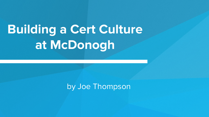# **Building a Cert Culture at McDonogh**

#### by Joe Thompson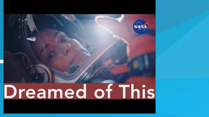# VASA Dreamed of This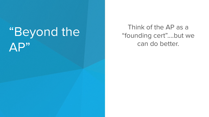## "Beyond the AP"

Think of the AP as a "founding cert"....but we can do better.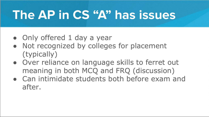## **The AP in CS "A" has issues**

- Only offered 1 day a year
- Not recognized by colleges for placement (typically)
- Over reliance on language skills to ferret out meaning in both MCQ and FRQ (discussion)
- Can intimidate students both before exam and after.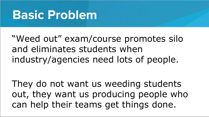#### **Basic Problem**

"Weed out" exam/course promotes silo and eliminates students when industry/agencies need lots of people.

They do not want us weeding students out, they want us producing people who can help their teams get things done.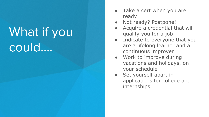## What if you could….

- Take a cert when you are ready
- Not ready? Postpone!
- Acquire a credential that will qualify you for a job
- Indicate to everyone that you are a lifelong learner and a continuous improver
- Work to improve during vacations and holidays, on your schedule
- Set yourself apart in applications for college and internships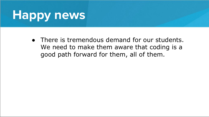## **Happy news**

• There is tremendous demand for our students. We need to make them aware that coding is a good path forward for them, all of them.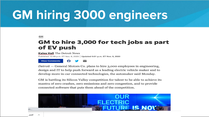## **GM hiring 3000 engineers**

**GM** 

#### GM to hire 3,000 for tech jobs as part of EV push

**Kalea Hall** The Detroit News

Published 12:49 p.m. ET Nov. 9, 2020 | Updated 6:01 p.m. ET Nov. 9, 2020





GM is battling its Silicon Valley competition for talent to be able to achieve its mantra of zero crashes, zero emissions and zero congestion, and to provide connected software that puts them ahead of the competition.

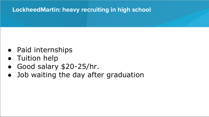#### **LockheedMartin: heavy recruiting in high school**

- Paid internships
- Tuition help
- Good salary \$20-25/hr.
- Job waiting the day after graduation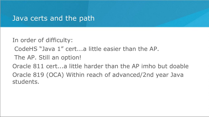#### Java certs and the path

In order of difficulty:

- CodeHS "Java 1" cert...a little easier than the AP.
- The AP. Still an option!

Oracle 811 cert...a little harder than the AP imho but doable Oracle 819 (OCA) Within reach of advanced/2nd year Java students.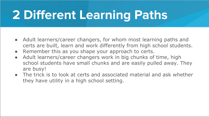## **2 Different Learning Paths**

- Adult learners/career changers, for whom most learning paths and certs are built, learn and work differently from high school students.
- Remember this as you shape your approach to certs.
- Adult learners/career changers work in big chunks of time, high school students have small chunks and are easily pulled away. They are busy!
- The trick is to look at certs and associated material and ask whether they have utility in a high school setting.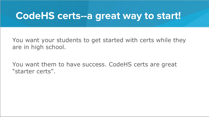#### **CodeHS certs--a great way to start!**

You want your students to get started with certs while they are in high school.

You want them to have success. CodeHS certs are great "starter certs".